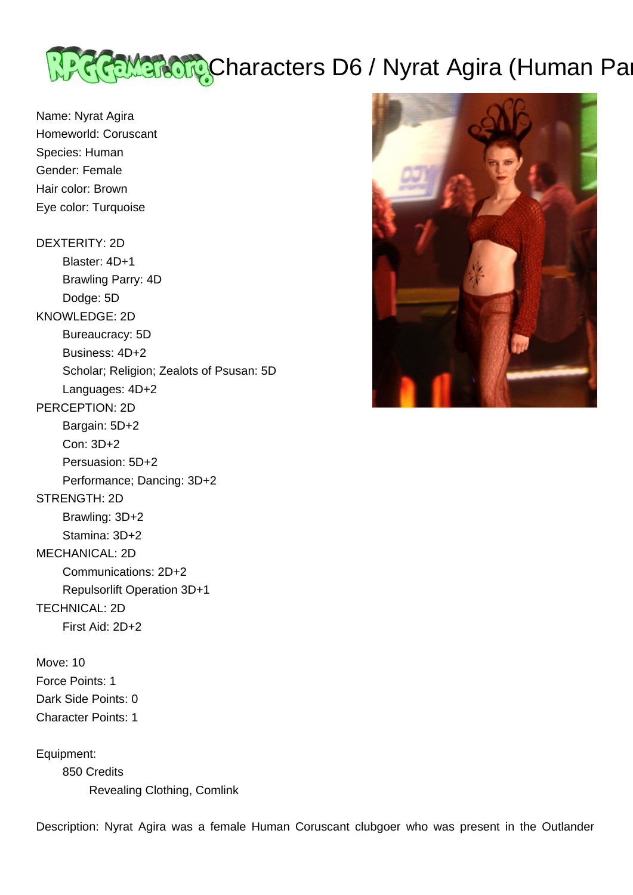

Name: Nyrat Agira Homeworld: Coruscant Species: Human Gender: Female Hair color: Brown Eye color: Turquoise

DEXTERITY: 2D Blaster: 4D+1 Brawling Parry: 4D Dodge: 5D KNOWLEDGE: 2D Bureaucracy: 5D Business: 4D+2 Scholar; Religion; Zealots of Psusan: 5D Languages: 4D+2 PERCEPTION: 2D Bargain: 5D+2 Con: 3D+2 Persuasion: 5D+2 Performance; Dancing: 3D+2 STRENGTH: 2D Brawling: 3D+2 Stamina: 3D+2 MECHANICAL: 2D Communications: 2D+2 Repulsorlift Operation 3D+1 TECHNICAL: 2D First Aid: 2D+2

Move: 10 Force Points: 1 Dark Side Points: 0 Character Points: 1

Equipment: 850 Credits Revealing Clothing, Comlink



Description: Nyrat Agira was a female Human Coruscant clubgoer who was present in the Outlander